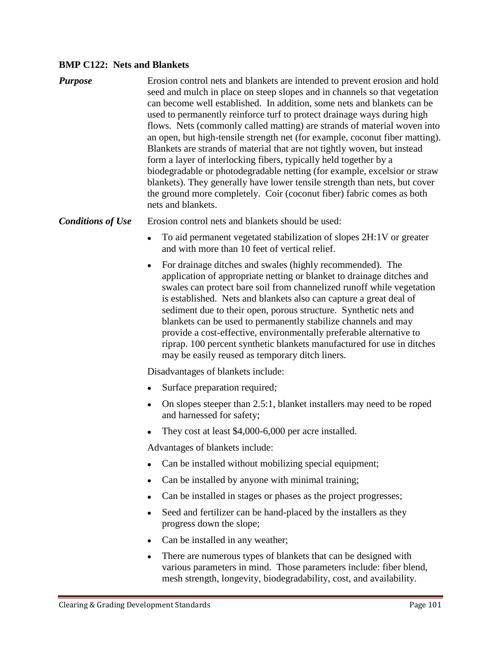## **BMP C122: Nets and Blankets**

| <b>Purpose</b> | Erosion control nets and blankets are intended to prevent erosion and hold<br>seed and mulch in place on steep slopes and in channels so that vegetation<br>can become well established. In addition, some nets and blankets can be<br>used to permanently reinforce turf to protect drainage ways during high<br>flows. Nets (commonly called matting) are strands of material woven into<br>an open, but high-tensile strength net (for example, coconut fiber matting).<br>Blankets are strands of material that are not tightly woven, but instead<br>form a layer of interlocking fibers, typically held together by a<br>biodegradable or photodegradable netting (for example, excelsior or straw<br>blankets). They generally have lower tensile strength than nets, but cover<br>the ground more completely. Coir (coconut fiber) fabric comes as both<br>nets and blankets. |
|----------------|---------------------------------------------------------------------------------------------------------------------------------------------------------------------------------------------------------------------------------------------------------------------------------------------------------------------------------------------------------------------------------------------------------------------------------------------------------------------------------------------------------------------------------------------------------------------------------------------------------------------------------------------------------------------------------------------------------------------------------------------------------------------------------------------------------------------------------------------------------------------------------------|
|----------------|---------------------------------------------------------------------------------------------------------------------------------------------------------------------------------------------------------------------------------------------------------------------------------------------------------------------------------------------------------------------------------------------------------------------------------------------------------------------------------------------------------------------------------------------------------------------------------------------------------------------------------------------------------------------------------------------------------------------------------------------------------------------------------------------------------------------------------------------------------------------------------------|

**Conditions of Use** Erosion control nets and blankets should be used:

- To aid permanent vegetated stabilization of slopes 2H:1V or greater and with more than 10 feet of vertical relief.
- For drainage ditches and swales (highly recommended). The  $\bullet$ application of appropriate netting or blanket to drainage ditches and swales can protect bare soil from channelized runoff while vegetation is established. Nets and blankets also can capture a great deal of sediment due to their open, porous structure. Synthetic nets and blankets can be used to permanently stabilize channels and may provide a cost-effective, environmentally preferable alternative to riprap. 100 percent synthetic blankets manufactured for use in ditches may be easily reused as temporary ditch liners.

Disadvantages of blankets include:

- Surface preparation required;
- On slopes steeper than 2.5:1, blanket installers may need to be roped and harnessed for safety;
- They cost at least \$4,000-6,000 per acre installed.

Advantages of blankets include:

- Can be installed without mobilizing special equipment;
- Can be installed by anyone with minimal training;
- Can be installed in stages or phases as the project progresses;
- Seed and fertilizer can be hand-placed by the installers as they progress down the slope;
- Can be installed in any weather;
- There are numerous types of blankets that can be designed with various parameters in mind. Those parameters include: fiber blend, mesh strength, longevity, biodegradability, cost, and availability.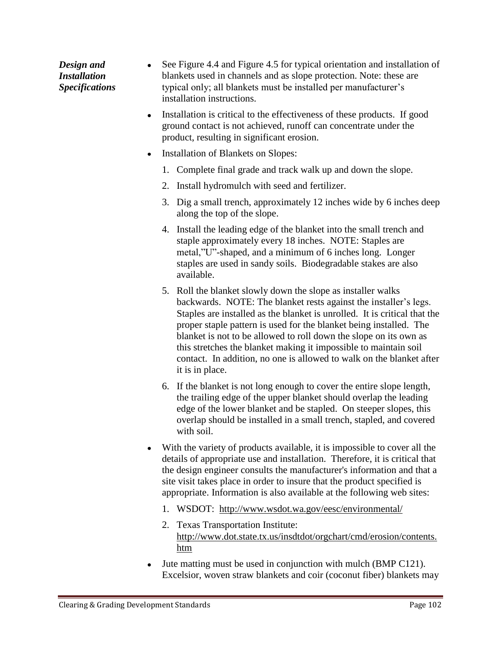See Figure 4.4 and Figure 4.5 for typical orientation and installation of *Design and*   $\bullet$ blankets used in channels and as slope protection. Note: these are *Installation*  typical only; all blankets must be installed per manufacturer's *Specifications* installation instructions.

- Installation is critical to the effectiveness of these products. If good ground contact is not achieved, runoff can concentrate under the product, resulting in significant erosion.
- Installation of Blankets on Slopes:
	- 1. Complete final grade and track walk up and down the slope.
	- 2. Install hydromulch with seed and fertilizer.
	- 3. Dig a small trench, approximately 12 inches wide by 6 inches deep along the top of the slope.
	- 4. Install the leading edge of the blanket into the small trench and staple approximately every 18 inches. NOTE: Staples are metal,"U"-shaped, and a minimum of 6 inches long. Longer staples are used in sandy soils. Biodegradable stakes are also available.
	- 5. Roll the blanket slowly down the slope as installer walks backwards. NOTE: The blanket rests against the installer's legs. Staples are installed as the blanket is unrolled. It is critical that the proper staple pattern is used for the blanket being installed. The blanket is not to be allowed to roll down the slope on its own as this stretches the blanket making it impossible to maintain soil contact. In addition, no one is allowed to walk on the blanket after it is in place.
	- 6. If the blanket is not long enough to cover the entire slope length, the trailing edge of the upper blanket should overlap the leading edge of the lower blanket and be stapled. On steeper slopes, this overlap should be installed in a small trench, stapled, and covered with soil.
- With the variety of products available, it is impossible to cover all the details of appropriate use and installation. Therefore, it is critical that the design engineer consults the manufacturer's information and that a site visit takes place in order to insure that the product specified is appropriate. Information is also available at the following web sites:
	- 1. WSDOT: [http://www.wsdot.wa.gov/e](http://www.wsdot.wa.gov/)esc/environmental/
	- 2. Texas Transportation Institute: [http://www.dot.state.tx.us/i](http://www.dot.state.tx.us/)nsdtdot/orgchart/cmd/erosion/contents. htm
- Jute matting must be used in conjunction with mulch (BMP C121). Excelsior, woven straw blankets and coir (coconut fiber) blankets may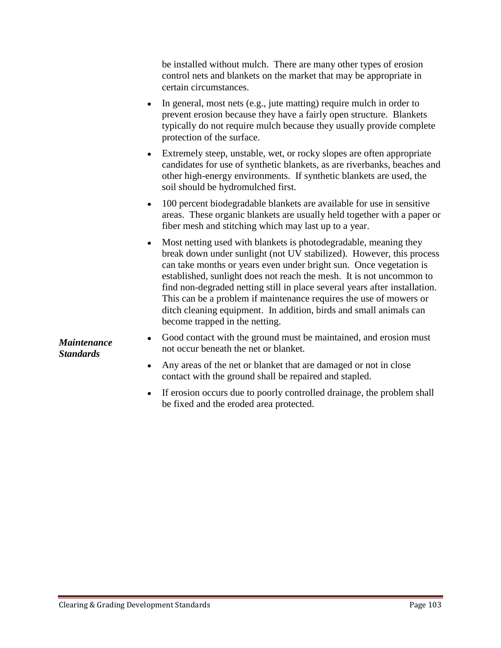be installed without mulch. There are many other types of erosion control nets and blankets on the market that may be appropriate in certain circumstances.

- In general, most nets (e.g., jute matting) require mulch in order to prevent erosion because they have a fairly open structure. Blankets typically do not require mulch because they usually provide complete protection of the surface.
- Extremely steep, unstable, wet, or rocky slopes are often appropriate candidates for use of synthetic blankets, as are riverbanks, beaches and other high-energy environments. If synthetic blankets are used, the soil should be hydromulched first.
- 100 percent biodegradable blankets are available for use in sensitive areas. These organic blankets are usually held together with a paper or fiber mesh and stitching which may last up to a year.
- Most netting used with blankets is photodegradable, meaning they break down under sunlight (not UV stabilized). However, this process can take months or years even under bright sun. Once vegetation is established, sunlight does not reach the mesh. It is not uncommon to find non-degraded netting still in place several years after installation. This can be a problem if maintenance requires the use of mowers or ditch cleaning equipment. In addition, birds and small animals can become trapped in the netting.

*Maintenance Standards*

- Good contact with the ground must be maintained, and erosion must not occur beneath the net or blanket.
- Any areas of the net or blanket that are damaged or not in close contact with the ground shall be repaired and stapled.
- If erosion occurs due to poorly controlled drainage, the problem shall be fixed and the eroded area protected.